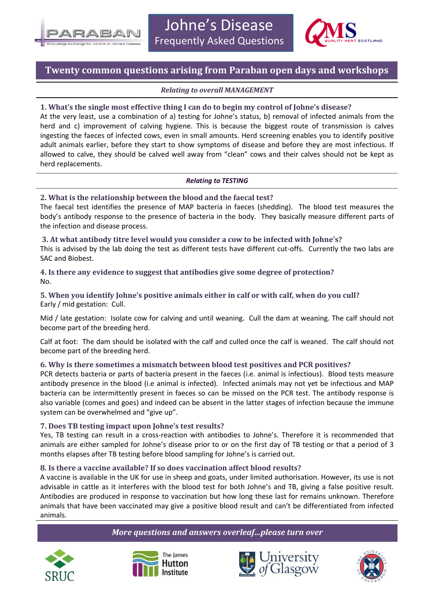



# **Twenty common questions arising from Paraban open days and workshops**

## *Relating to overall MANAGEMENT*

## **1. What's the single most effective thing I can do to begin my control of Johne's disease?**

At the very least, use a combination of a) testing for Johne's status, b) removal of infected animals from the herd and c) improvement of calving hygiene. This is because the biggest route of transmission is calves ingesting the faeces of infected cows, even in small amounts. Herd screening enables you to identify positive adult animals earlier, before they start to show symptoms of disease and before they are most infectious. If allowed to calve, they should be calved well away from "clean" cows and their calves should not be kept as herd replacements.

### *Relating to TESTING*

## **2. What is the relationship between the blood and the faecal test?**

The faecal test identifies the presence of MAP bacteria in faeces (shedding). The blood test measures the body's antibody response to the presence of bacteria in the body. They basically measure different parts of the infection and disease process.

**3. At what antibody titre level would you consider a cow to be infected with Johne's?** This is advised by the lab doing the test as different tests have different cut-offs. Currently the two labs are SAC and Biobest.

## **4. Is there any evidence to suggest that antibodies give some degree of protection?** No.

**5. When you identify Johne's positive animals either in calf or with calf, when do you cull?** Early / mid gestation: Cull.

Mid / late gestation: Isolate cow for calving and until weaning. Cull the dam at weaning. The calf should not become part of the breeding herd.

Calf at foot: The dam should be isolated with the calf and culled once the calf is weaned. The calf should not become part of the breeding herd.

# **6. Why is there sometimes a mismatch between blood test positives and PCR positives?**

PCR detects bacteria or parts of bacteria present in the faeces (i.e. animal is infectious). Blood tests measure antibody presence in the blood (i.e animal is infected). Infected animals may not yet be infectious and MAP bacteria can be intermittently present in faeces so can be missed on the PCR test. The antibody response is also variable (comes and goes) and indeed can be absent in the latter stages of infection because the immune system can be overwhelmed and "give up".

### **7. Does TB testing impact upon Johne's test results?**

Yes, TB testing can result in a cross-reaction with antibodies to Johne's. Therefore it is recommended that animals are either sampled for Johne's disease prior to or on the first day of TB testing or that a period of 3 months elapses after TB testing before blood sampling for Johne's is carried out.

# **8. Is there a vaccine available? If so does vaccination affect blood results?**

A vaccine is available in the UK for use in sheep and goats, under limited authorisation. However, its use is not advisable in cattle as it interferes with the blood test for both Johne's and TB, giving a false positive result. Antibodies are produced in response to vaccination but how long these last for remains unknown. Therefore animals that have been vaccinated may give a positive blood result and can't be differentiated from infected animals.